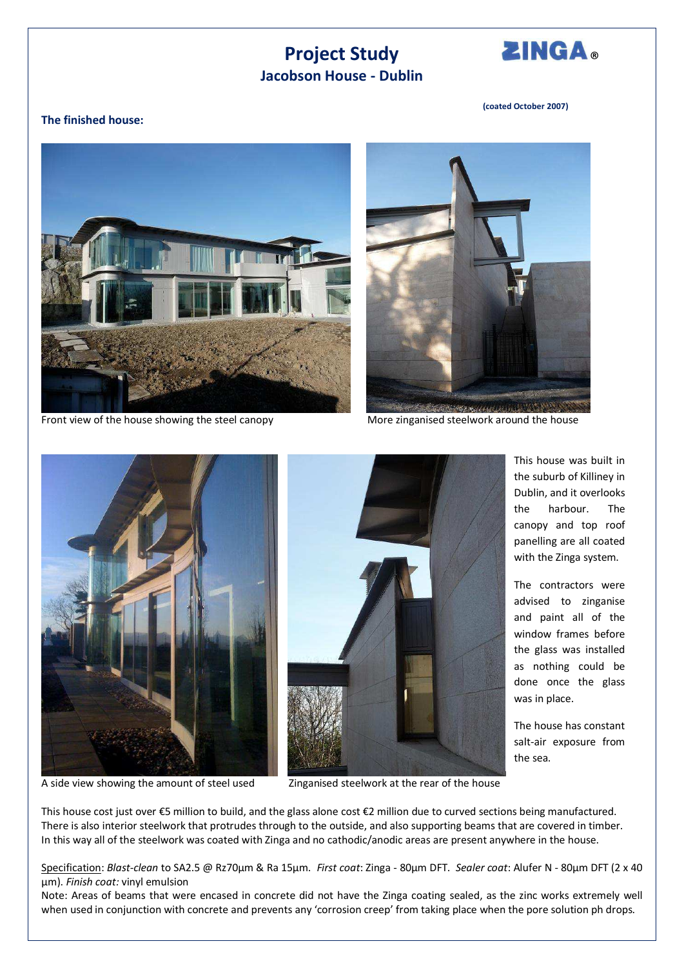## **Project Study Jacobson House - Dublin**



This house was built in the suburb of Killiney in Dublin, and it overlooks the harbour. The canopy and top roof panelling are all coated with the Zinga system.

The contractors were advised to zinganise and paint all of the window frames before the glass was installed as nothing could be done once the glass

The house has constant salt-air exposure from

was in place.

the sea.

## **(coated October 2007)**

## **The finished house:**



Front view of the house showing the steel canopy More zinganised steelwork around the house







A side view showing the amount of steel used Zinganised steelwork at the rear of the house

This house cost just over  $\epsilon$ 5 million to build, and the glass alone cost  $\epsilon$ 2 million due to curved sections being manufactured. There is also interior steelwork that protrudes through to the outside, and also supporting beams that are covered in timber. In this way all of the steelwork was coated with Zinga and no cathodic/anodic areas are present anywhere in the house.

Specification: *Blast-clean* to SA2.5 @ Rz70µm & Ra 15µm. *First coat*: Zinga - 80µm DFT. *Sealer coat*: Alufer N - 80µm DFT (2 x 40 µm). *Finish coat:* vinyl emulsion

Note: Areas of beams that were encased in concrete did not have the Zinga coating sealed, as the zinc works extremely well when used in conjunction with concrete and prevents any 'corrosion creep' from taking place when the pore solution ph drops.